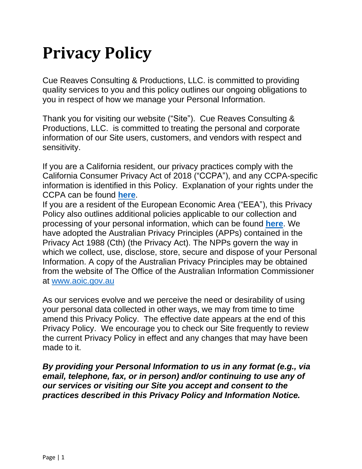# **Privacy Policy**

Cue Reaves Consulting & Productions, LLC. is committed to providing quality services to you and this policy outlines our ongoing obligations to you in respect of how we manage your Personal Information.

Thank you for visiting our website ("Site"). Cue Reaves Consulting & Productions, LLC. is committed to treating the personal and corporate information of our Site users, customers, and vendors with respect and sensitivity.

If you are a California resident, our privacy practices comply with the California Consumer Privacy Act of 2018 ("CCPA"), and any CCPA-specific information is identified in this Policy. Explanation of your rights under the CCPA can be found **[here](https://www.tonyrobbins.com/privacy-policy/#_Additional_Policies_In)**.

If you are a resident of the European Economic Area ("EEA"), this Privacy Policy also outlines additional policies applicable to our collection and processing of your personal information, which can be found **[here](https://www.tonyrobbins.com/privacy-policy/#_Additional_Policies_In)**. We have adopted the Australian Privacy Principles (APPs) contained in the Privacy Act 1988 (Cth) (the Privacy Act). The NPPs govern the way in which we collect, use, disclose, store, secure and dispose of your Personal Information. A copy of the Australian Privacy Principles may be obtained from the website of The Office of the Australian Information Commissioner at [www.aoic.gov.au](http://www.aoic.gov.au/)

As our services evolve and we perceive the need or desirability of using your personal data collected in other ways, we may from time to time amend this Privacy Policy. The effective date appears at the end of this Privacy Policy. We encourage you to check our Site frequently to review the current Privacy Policy in effect and any changes that may have been made to it.

*By providing your Personal Information to us in any format (e.g., via email, telephone, fax, or in person) and/or continuing to use any of our services or visiting our Site you accept and consent to the practices described in this Privacy Policy and Information Notice.*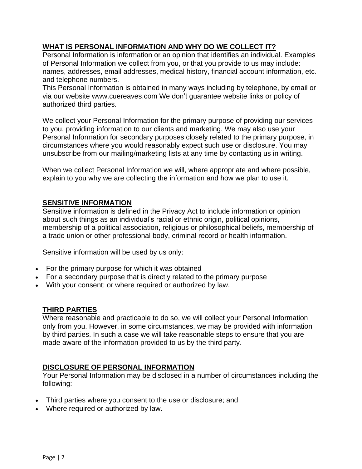# **WHAT IS PERSONAL INFORMATION AND WHY DO WE COLLECT IT?**

Personal Information is information or an opinion that identifies an individual. Examples of Personal Information we collect from you, or that you provide to us may include: names, addresses, email addresses, medical history, financial account information, etc. and telephone numbers.

This Personal Information is obtained in many ways including by telephone, by email or via our website www.cuereaves.com We don't guarantee website links or policy of authorized third parties.

We collect your Personal Information for the primary purpose of providing our services to you, providing information to our clients and marketing. We may also use your Personal Information for secondary purposes closely related to the primary purpose, in circumstances where you would reasonably expect such use or disclosure. You may unsubscribe from our mailing/marketing lists at any time by contacting us in writing.

When we collect Personal Information we will, where appropriate and where possible, explain to you why we are collecting the information and how we plan to use it.

## **SENSITIVE INFORMATION**

Sensitive information is defined in the Privacy Act to include information or opinion about such things as an individual's racial or ethnic origin, political opinions, membership of a political association, religious or philosophical beliefs, membership of a trade union or other professional body, criminal record or health information.

Sensitive information will be used by us only:

- For the primary purpose for which it was obtained
- For a secondary purpose that is directly related to the primary purpose
- With your consent; or where required or authorized by law.

#### **THIRD PARTIES**

Where reasonable and practicable to do so, we will collect your Personal Information only from you. However, in some circumstances, we may be provided with information by third parties. In such a case we will take reasonable steps to ensure that you are made aware of the information provided to us by the third party.

#### **DISCLOSURE OF PERSONAL INFORMATION**

Your Personal Information may be disclosed in a number of circumstances including the following:

- Third parties where you consent to the use or disclosure; and
- Where required or authorized by law.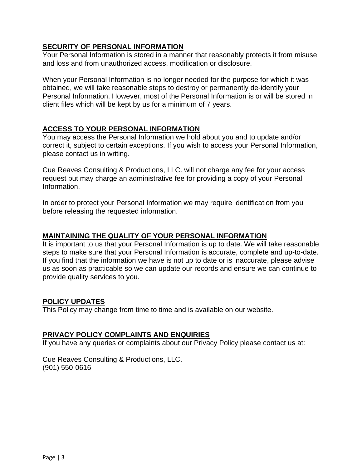# **SECURITY OF PERSONAL INFORMATION**

Your Personal Information is stored in a manner that reasonably protects it from misuse and loss and from unauthorized access, modification or disclosure.

When your Personal Information is no longer needed for the purpose for which it was obtained, we will take reasonable steps to destroy or permanently de-identify your Personal Information. However, most of the Personal Information is or will be stored in client files which will be kept by us for a minimum of 7 years.

## **ACCESS TO YOUR PERSONAL INFORMATION**

You may access the Personal Information we hold about you and to update and/or correct it, subject to certain exceptions. If you wish to access your Personal Information, please contact us in writing.

Cue Reaves Consulting & Productions, LLC. will not charge any fee for your access request but may charge an administrative fee for providing a copy of your Personal Information.

In order to protect your Personal Information we may require identification from you before releasing the requested information.

#### **MAINTAINING THE QUALITY OF YOUR PERSONAL INFORMATION**

It is important to us that your Personal Information is up to date. We will take reasonable steps to make sure that your Personal Information is accurate, complete and up-to-date. If you find that the information we have is not up to date or is inaccurate, please advise us as soon as practicable so we can update our records and ensure we can continue to provide quality services to you.

#### **POLICY UPDATES**

This Policy may change from time to time and is available on our website.

#### **PRIVACY POLICY COMPLAINTS AND ENQUIRIES**

If you have any queries or complaints about our Privacy Policy please contact us at:

Cue Reaves Consulting & Productions, LLC. (901) 550-0616